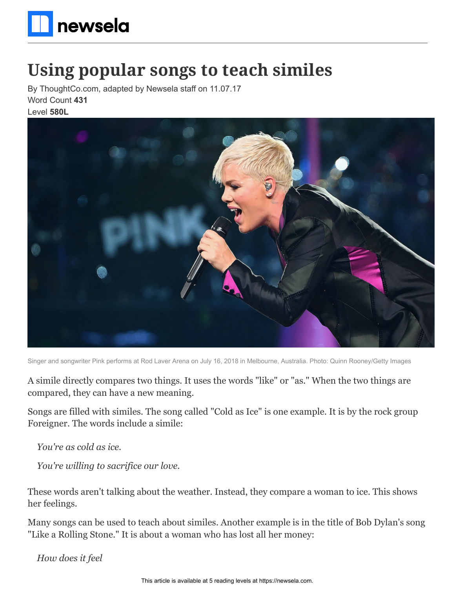

## **Using popular songs to teach similes**

By ThoughtCo.com, adapted by Newsela staff on 11.07.17 Word Count **431**

Level **580L**



Singer and songwriter Pink performs at Rod Laver Arena on July 16, 2018 in Melbourne, Australia. Photo: Quinn Rooney/Getty Images

A simile directly compares two things. It uses the words "like" or "as." When the two things are compared, they can have a new meaning.

Songs are filled with similes. The song called "Cold as Ice" is one example. It is by the rock group Foreigner. The words include a simile:

*You're as cold as ice.*

*You're willing to sacrifice our love.*

These words aren't talking about the weather. Instead, they compare a woman to ice. This shows her feelings.

Many songs can be used to teach about similes. Another example is in the title of Bob Dylan's song "Like a Rolling Stone." It is about a woman who has lost all her money:

*How does it feel*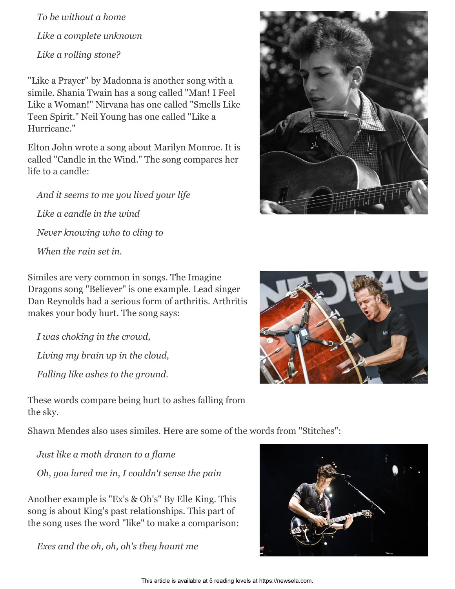*To be without a home Like a complete unknown*

*Like a rolling stone?*

"Like a Prayer" by Madonna is another song with a simile. Shania Twain has a song called "Man! I Feel Like a Woman!" Nirvana has one called "Smells Like Teen Spirit." Neil Young has one called "Like a Hurricane."

Elton John wrote a song about Marilyn Monroe. It is called "Candle in the Wind." The song compares her life to a candle:

*And it seems to me you lived your life Like a candle in the wind Never knowing who to cling to When the rain set in.*

Similes are very common in songs. The Imagine Dragons song "Believer" is one example. Lead singer Dan Reynolds had a serious form of arthritis. Arthritis makes your body hurt. The song says:

*I was choking in the crowd,*

*Living my brain up in the cloud,*

*Falling like ashes to the ground.*

These words compare being hurt to ashes falling from the sky.

Shawn Mendes also uses similes. Here are some of the words from "Stitches":

*Just like a moth drawn to a flame*

*Oh, you lured me in, I couldn't sense the pain*

Another example is "Ex's & Oh's" By Elle King. This song is about King's past relationships. This part of the song uses the word "like" to make a comparison:

*Exes and the oh, oh, oh's they haunt me*





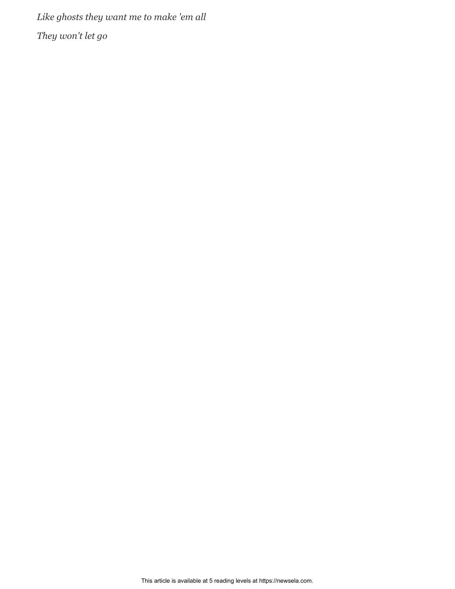*Like ghosts they want me to make 'em all They won't let go*